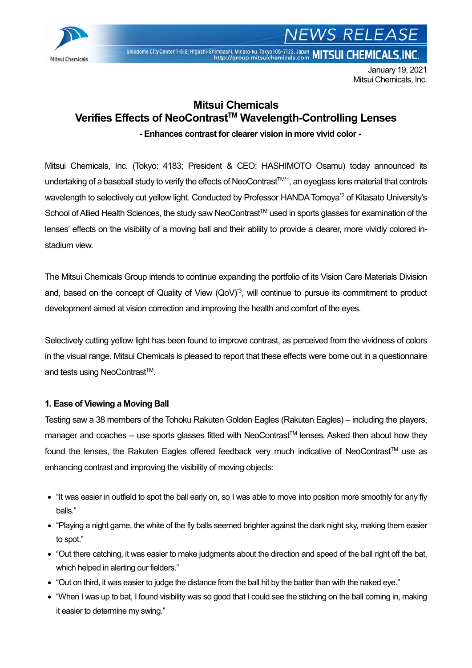

# **WS RELEASE**

Shiodome City Center 1-5-2, Higashi-Shimbashi, Minato-ku, Tokyo 105-7122, Japan MITSUI CHEMICALS, INC.

January 19, 2021 Mitsui Chemicals, Inc.

### **Mitsui Chemicals Verifies Effects of NeoContrastTM Wavelength-Controlling Lenses**

**- Enhances contrast for clearer vision in more vivid color -**

Mitsui Chemicals, Inc. (Tokyo: 4183; President & CEO: HASHIMOTO Osamu) today announced its undertaking of a baseball study to verify the effects of NeoContrast™\*1, an eyeglass lens material that controls wavelength to selectively cut yellow light. Conducted by Professor HANDA Tomoya<sup>\*2</sup> of Kitasato University's School of Allied Health Sciences, the study saw NeoContrast™ used in sports glasses for examination of the lenses' effects on the visibility of a moving ball and their ability to provide a clearer, more vividly colored instadium view.

The Mitsui Chemicals Group intends to continue expanding the portfolio of its Vision Care Materials Division and, based on the concept of Quality of View (QoV)<sup>\*3</sup>, will continue to pursue its commitment to product development aimed at vision correction and improving the health and comfort of the eyes.

Selectively cutting yellow light has been found to improve contrast, as perceived from the vividness of colors in the visual range. Mitsui Chemicals is pleased to report that these effects were borne out in a questionnaire and tests using NeoContrast<sup>™</sup>.

#### **1. Ease of Viewing a Moving Ball**

Testing saw a 38 members of the Tohoku Rakuten Golden Eagles (Rakuten Eagles) – including the players, manager and coaches – use sports glasses fitted with NeoContrast™ lenses. Asked then about how they found the lenses, the Rakuten Eagles offered feedback very much indicative of NeoContrast™ use as enhancing contrast and improving the visibility of moving objects:

- "It was easier in outfield to spot the ball early on, so I was able to move into position more smoothly for any fly balls."
- "Playing a night game, the white of the fly balls seemed brighter against the dark night sky, making them easier to spot."
- "Out there catching, it was easier to make judgments about the direction and speed of the ball right off the bat, which helped in alerting our fielders."
- "Out on third, it was easier to judge the distance from the ball hit by the batter than with the naked eye."
- "When I was up to bat, I found visibility was so good that I could see the stitching on the ball coming in, making it easier to determine my swing."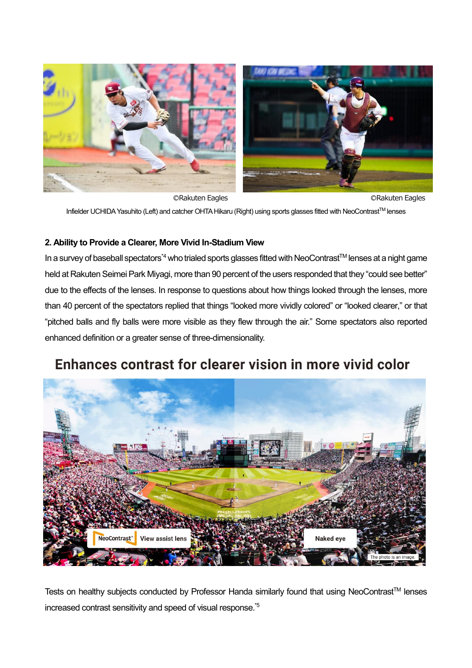

**CRakuten Eagles CRAKuten Eagles** CRAKuten Eagles Infielder UCHIDA Yasuhito (Left) and catcher OHTA Hikaru (Right) using sports glasses fitted with NeoContrast™ lenses

#### **2. Ability to Provide a Clearer, More Vivid In-Stadium View**

In a survey of baseball spectators<sup>\*4</sup> who trialed sports glasses fitted with NeoContrast™ lenses at a night game held at Rakuten Seimei Park Miyagi, more than 90 percent of the users responded that they "could see better" due to the effects of the lenses. In response to questions about how things looked through the lenses, more than 40 percent of the spectators replied that things "looked more vividly colored" or "looked clearer," or that "pitched balls and fly balls were more visible as they flew through the air." Some spectators also reported enhanced definition or a greater sense of three-dimensionality.

## Enhances contrast for clearer vision in more vivid color



Tests on healthy subjects conducted by Professor Handa similarly found that using NeoContrast™ lenses increased contrast sensitivity and speed of visual response.\*5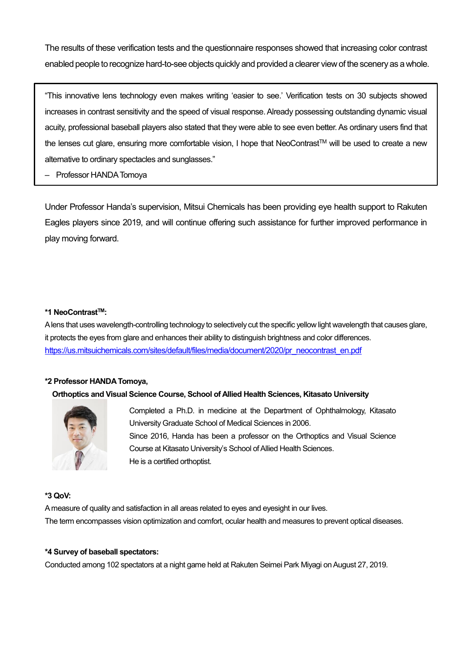The results of these verification tests and the questionnaire responses showed that increasing color contrast enabled people to recognize hard-to-see objects quickly and provided a clearer view of the scenery as a whole.

"This innovative lens technology even makes writing 'easier to see.' Verification tests on 30 subjects showed increases in contrast sensitivity and the speed of visual response. Already possessing outstanding dynamic visual acuity, professional baseball players also stated that they were able to see even better. As ordinary users find that the lenses cut glare, ensuring more comfortable vision, I hope that NeoContrast™ will be used to create a new alternative to ordinary spectacles and sunglasses."

– Professor HANDA Tomoya

Under Professor Handa's supervision, Mitsui Chemicals has been providing eye health support to Rakuten Eagles players since 2019, and will continue offering such assistance for further improved performance in play moving forward.

#### **\*1 NeoContrastTM:**

A lens that uses wavelength-controlling technology to selectively cut the specific yellow light wavelength that causes glare, it protects the eyes from glare and enhances their ability to distinguish brightness and color differences. [https://us.mitsuichemicals.com/sites/default/files/media/document/2020/pr\\_neocontrast\\_en.pdf](https://us.mitsuichemicals.com/sites/default/files/media/document/2020/pr_neocontrast_en.pdf)

#### **\*2 Professor HANDA Tomoya,**

#### **Orthoptics and Visual Science Course, School of Allied Health Sciences, Kitasato University**



Completed a Ph.D. in medicine at the Department of Ophthalmology, Kitasato University Graduate School of Medical Sciences in 2006. Since 2016, Handa has been a professor on the Orthoptics and Visual Science Course at Kitasato University's School of Allied Health Sciences. He is a certified orthoptist.

#### **\*3 QoV:**

A measure of quality and satisfaction in all areas related to eyes and eyesight in our lives. The term encompasses vision optimization and comfort, ocular health and measures to prevent optical diseases.

#### **\*4 Survey of baseball spectators:**

Conducted among 102 spectators at a night game held at Rakuten Seimei Park Miyagi on August 27, 2019.